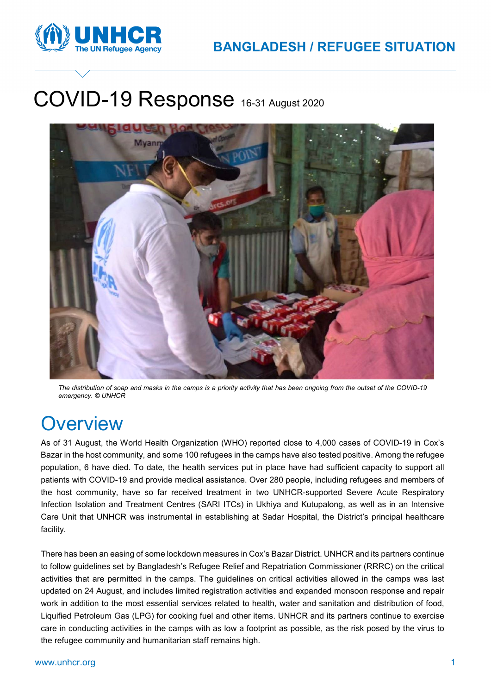

# COVID-19 Response 16-31 August 2020



*The distribution of soap and masks in the camps is a priority activity that has been ongoing from the outset of the COVID-19 emergency. © UNHCR*

## **Overview**

As of 31 August, the World Health Organization (WHO) reported close to 4,000 cases of COVID-19 in Cox's Bazar in the host community, and some 100 refugees in the camps have also tested positive. Among the refugee population, 6 have died. To date, the health services put in place have had sufficient capacity to support all patients with COVID-19 and provide medical assistance. Over 280 people, including refugees and members of the host community, have so far received treatment in two UNHCR-supported Severe Acute Respiratory Infection Isolation and Treatment Centres (SARI ITCs) in Ukhiya and Kutupalong, as well as in an Intensive Care Unit that UNHCR was instrumental in establishing at Sadar Hospital, the District's principal healthcare facility.

There has been an easing of some lockdown measures in Cox's Bazar District. UNHCR and its partners continue to follow guidelines set by Bangladesh's Refugee Relief and Repatriation Commissioner (RRRC) on the critical activities that are permitted in the camps. The guidelines on critical activities allowed in the camps was last updated on 24 August, and includes limited registration activities and expanded monsoon response and repair work in addition to the most essential services related to health, water and sanitation and distribution of food, Liquified Petroleum Gas (LPG) for cooking fuel and other items. UNHCR and its partners continue to exercise care in conducting activities in the camps with as low a footprint as possible, as the risk posed by the virus to the refugee community and humanitarian staff remains high.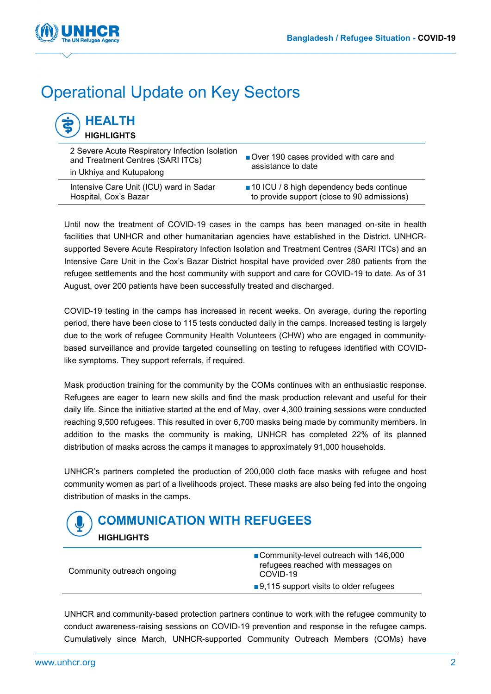

## Operational Update on Key Sectors

| <b>HEALTH</b><br><b>HIGHLIGHTS</b> |  |
|------------------------------------|--|
|                                    |  |

| 2 Severe Acute Respiratory Infection Isolation<br>and Treatment Centres (SARI ITCs)<br>in Ukhiya and Kutupalong | Over 190 cases provided with care and<br>assistance to date |
|-----------------------------------------------------------------------------------------------------------------|-------------------------------------------------------------|
| Intensive Care Unit (ICU) ward in Sadar                                                                         | ■ 10 ICU / 8 high dependency beds continue                  |
| Hospital, Cox's Bazar                                                                                           | to provide support (close to 90 admissions)                 |

Until now the treatment of COVID-19 cases in the camps has been managed on-site in health facilities that UNHCR and other humanitarian agencies have established in the District. UNHCRsupported Severe Acute Respiratory Infection Isolation and Treatment Centres (SARI ITCs) and an Intensive Care Unit in the Cox's Bazar District hospital have provided over 280 patients from the refugee settlements and the host community with support and care for COVID-19 to date. As of 31 August, over 200 patients have been successfully treated and discharged.

COVID-19 testing in the camps has increased in recent weeks. On average, during the reporting period, there have been close to 115 tests conducted daily in the camps. Increased testing is largely due to the work of refugee Community Health Volunteers (CHW) who are engaged in communitybased surveillance and provide targeted counselling on testing to refugees identified with COVIDlike symptoms. They support referrals, if required.

Mask production training for the community by the COMs continues with an enthusiastic response. Refugees are eager to learn new skills and find the mask production relevant and useful for their daily life. Since the initiative started at the end of May, over 4,300 training sessions were conducted reaching 9,500 refugees. This resulted in over 6,700 masks being made by community members. In addition to the masks the community is making, UNHCR has completed 22% of its planned distribution of masks across the camps it manages to approximately 91,000 households.

UNHCR's partners completed the production of 200,000 cloth face masks with refugee and host community women as part of a livelihoods project. These masks are also being fed into the ongoing distribution of masks in the camps.



| Community outreach ongoing | ■ Community-level outreach with 146,000<br>refugees reached with messages on<br>COVID-19 |
|----------------------------|------------------------------------------------------------------------------------------|
|                            | $\Box$ 9,115 support visits to older refugees                                            |

UNHCR and community-based protection partners continue to work with the refugee community to conduct awareness-raising sessions on COVID-19 prevention and response in the refugee camps. Cumulatively since March, UNHCR-supported Community Outreach Members (COMs) have